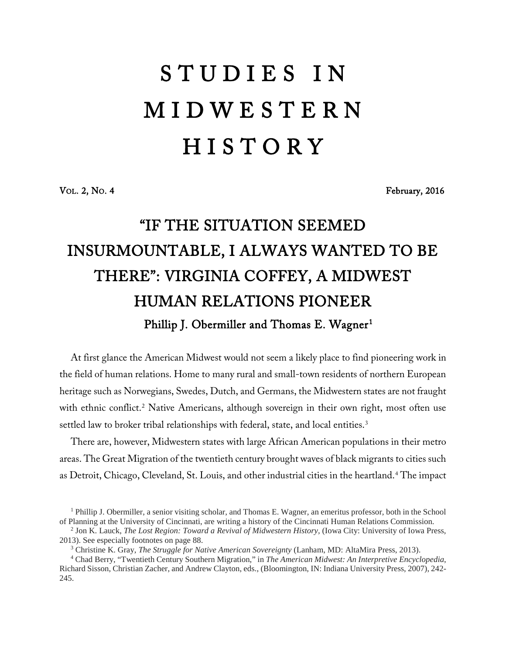## S T U D I E S I N M I D W E S T E R N **HISTORY**

VOL. 2, NO. 4 February, 2016

## "IF THE SITUATION SEEMED INSURMOUNTABLE, I ALWAYS WANTED TO BE THERE": VIRGINIA COFFEY, A MIDWEST HUMAN RELATIONS PIONEER Phillip J. Obermiller and Thomas E. Wagner $^{\rm 1}$  $^{\rm 1}$  $^{\rm 1}$

At first glance the American Midwest would not seem a likely place to find pioneering work in the field of human relations. Home to many rural and small-town residents of northern European heritage such as Norwegians, Swedes, Dutch, and Germans, the Midwestern states are not fraught with ethnic conflict.<sup>[2](#page-0-1)</sup> Native Americans, although sovereign in their own right, most often use settled law to broker tribal relationships with federal, state, and local entities.<sup>[3](#page-0-2)</sup>

There are, however, Midwestern states with large African American populations in their metro areas. The Great Migration of the twentieth century brought waves of black migrants to cities such as Detroit, Chicago, Cleveland, St. Louis, and other industrial cities in the heartland.[4](#page-0-3) The impact

<span id="page-0-0"></span><sup>1</sup> Phillip J. Obermiller, a senior visiting scholar, and Thomas E. Wagner, an emeritus professor, both in the School of Planning at the University of Cincinnati, are writing a history of the Cincinnati Human Relations Commission.

<span id="page-0-1"></span><sup>&</sup>lt;sup>2</sup> Jon K. Lauck, *The Lost Region: Toward a Revival of Midwestern History*, (Iowa City: University of Iowa Press, 2013). See especially footnotes on page 88.<br><sup>3</sup> Christine K. Gray, *The Struggle for Native American Sovereignty* (Lanham, MD: AltaMira Press, 2013).<br><sup>4</sup> Chad Berry, "Twentieth Century Southern Migration," in *The American* 

<span id="page-0-3"></span><span id="page-0-2"></span>Richard Sisson, Christian Zacher, and Andrew Clayton, eds., (Bloomington, IN: Indiana University Press, 2007), 242- 245.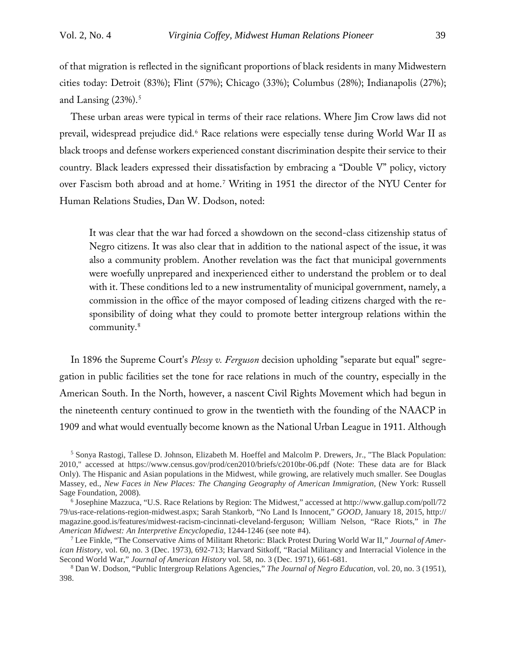of that migration is reflected in the significant proportions of black residents in many Midwestern cities today: Detroit (83%); Flint (57%); Chicago (33%); Columbus (28%); Indianapolis (27%); and Lansing  $(23\%)$ .<sup>[5](#page-1-0)</sup>

These urban areas were typical in terms of their race relations. Where Jim Crow laws did not prevail, widespread prejudice did.[6](#page-1-1) Race relations were especially tense during World War II as black troops and defense workers experienced constant discrimination despite their service to their country. Black leaders expressed their dissatisfaction by embracing a "Double V" policy, victory over Fascism both abroad and at home.[7](#page-1-2) Writing in 1951 the director of the NYU Center for Human Relations Studies, Dan W. Dodson, noted:

It was clear that the war had forced a showdown on the second-class citizenship status of Negro citizens. It was also clear that in addition to the national aspect of the issue, it was also a community problem. Another revelation was the fact that municipal governments were woefully unprepared and inexperienced either to understand the problem or to deal with it. These conditions led to a new instrumentality of municipal government, namely, a commission in the office of the mayor composed of leading citizens charged with the responsibility of doing what they could to promote better intergroup relations within the community.[8](#page-1-3)

In 1896 the Supreme Court's *Plessy v. Ferguson* decision upholding "separate but equal" segregation in public facilities set the tone for race relations in much of the country, especially in the American South. In the North, however, a nascent Civil Rights Movement which had begun in the nineteenth century continued to grow in the twentieth with the founding of the NAACP in 1909 and what would eventually become known as the National Urban League in 1911. Although

<span id="page-1-0"></span><sup>5</sup> Sonya Rastogi, Tallese D. Johnson, Elizabeth M. Hoeffel and Malcolm P. Drewers, Jr., "The Black Population: 2010," accessed at https://www.census.gov/prod/cen2010/briefs/c2010br-06.pdf (Note: These data are for Black Only). The Hispanic and Asian populations in the Midwest, while growing, are relatively much smaller. See Douglas Massey, ed., *New Faces in New Places: The Changing Geography of American Immigration,* (New York: Russell Sage Foundation, 2008).

<span id="page-1-3"></span><sup>8</sup> Dan W. Dodson, "Public Intergroup Relations Agencies," *The Journal of Negro Education*, vol. 20, no. 3 (1951), 398.

<span id="page-1-1"></span><sup>6</sup> Josephine Mazzuca, "U.S. Race Relations by Region: The Midwest," accessed at http://www.gallup.com/poll/72 79/us-race-relations-region-midwest.aspx; Sarah Stankorb, "No Land Is Innocent," *GOOD,* January 18, 2015, http:// magazine.good.is/features/midwest-racism-cincinnati-cleveland-ferguson; William Nelson, "Race Riots," in *The American Midwest: An Interpretive Encyclopedia,* 1244-1246 (see note #4).

<span id="page-1-2"></span><sup>7</sup> Lee Finkle, "The Conservative Aims of Militant Rhetoric: Black Protest During World War II," *Journal of American History*, vol. 60, no. 3 (Dec. 1973), 692-713; Harvard Sitkoff, "Racial Militancy and Interracial Violence in the Second World War," *Journal of American History* vol. 58, no. 3 (Dec. 1971), 661-681.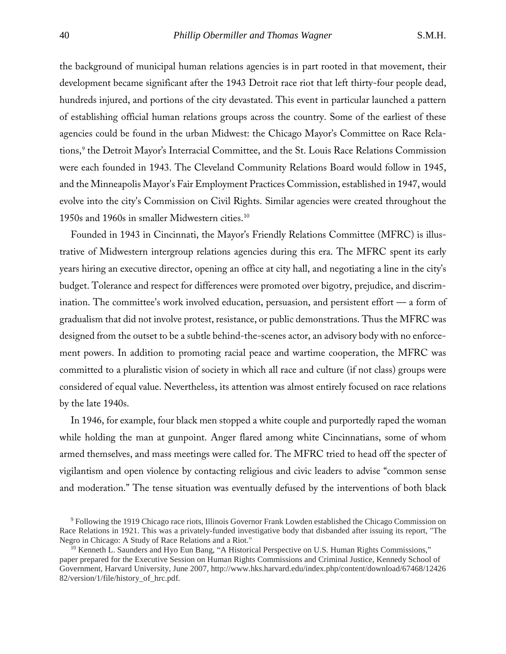the background of municipal human relations agencies is in part rooted in that movement, their development became significant after the 1943 Detroit race riot that left thirty-four people dead, hundreds injured, and portions of the city devastated. This event in particular launched a pattern of establishing official human relations groups across the country. Some of the earliest of these agencies could be found in the urban Midwest: the Chicago Mayor's Committee on Race Rela-tions,<sup>[9](#page-2-0)</sup> the Detroit Mayor's Interracial Committee, and the St. Louis Race Relations Commission were each founded in 1943. The Cleveland Community Relations Board would follow in 1945, and the Minneapolis Mayor's Fair Employment Practices Commission, established in 1947, would evolve into the city's Commission on Civil Rights. Similar agencies were created throughout the 1950s and 1960s in smaller Midwestern cities.[10](#page-2-1)

Founded in 1943 in Cincinnati, the Mayor's Friendly Relations Committee (MFRC) is illustrative of Midwestern intergroup relations agencies during this era. The MFRC spent its early years hiring an executive director, opening an office at city hall, and negotiating a line in the city's budget. Tolerance and respect for differences were promoted over bigotry, prejudice, and discrimination. The committee's work involved education, persuasion, and persistent effort — a form of gradualism that did not involve protest, resistance, or public demonstrations. Thus the MFRC was designed from the outset to be a subtle behind-the-scenes actor, an advisory body with no enforcement powers. In addition to promoting racial peace and wartime cooperation, the MFRC was committed to a pluralistic vision of society in which all race and culture (if not class) groups were considered of equal value. Nevertheless, its attention was almost entirely focused on race relations by the late 1940s.

In 1946, for example, four black men stopped a white couple and purportedly raped the woman while holding the man at gunpoint. Anger flared among white Cincinnatians, some of whom armed themselves, and mass meetings were called for. The MFRC tried to head off the specter of vigilantism and open violence by contacting religious and civic leaders to advise "common sense and moderation." The tense situation was eventually defused by the interventions of both black

<span id="page-2-0"></span><sup>9</sup> Following the 1919 Chicago race riots, Illinois Governor Frank Lowden established the Chicago Commission on Race Relations in 1921. This was a privately-funded investigative body that disbanded after issuing its report, "The Negro in Chicago: A Study of Race Relations and a Riot."

<span id="page-2-1"></span><sup>&</sup>lt;sup>10</sup> Kenneth L. Saunders and Hyo Eun Bang, "A Historical Perspective on U.S. Human Rights Commissions," paper prepared for the Executive Session on Human Rights Commissions and Criminal Justice, Kennedy School of Government, Harvard University, June 2007, http://www.hks.harvard.edu/index.php/content/download/67468/12426 82/version/1/file/history\_of\_hrc.pdf.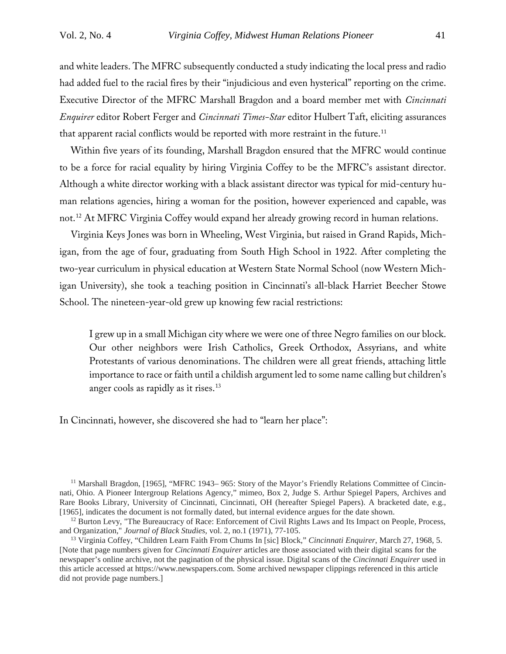and white leaders. The MFRC subsequently conducted a study indicating the local press and radio had added fuel to the racial fires by their "injudicious and even hysterical" reporting on the crime. Executive Director of the MFRC Marshall Bragdon and a board member met with *Cincinnati Enquirer* editor Robert Ferger and *Cincinnati Times-Star* editor Hulbert Taft, eliciting assurances that apparent racial conflicts would be reported with more restraint in the future.<sup>[11](#page-3-0)</sup>

Within five years of its founding, Marshall Bragdon ensured that the MFRC would continue to be a force for racial equality by hiring Virginia Coffey to be the MFRC's assistant director. Although a white director working with a black assistant director was typical for mid-century human relations agencies, hiring a woman for the position, however experienced and capable, was not.[12](#page-3-1) At MFRC Virginia Coffey would expand her already growing record in human relations.

Virginia Keys Jones was born in Wheeling, West Virginia, but raised in Grand Rapids, Michigan, from the age of four, graduating from South High School in 1922. After completing the two-year curriculum in physical education at Western State Normal School (now Western Michigan University), she took a teaching position in Cincinnati's all-black Harriet Beecher Stowe School. The nineteen-year-old grew up knowing few racial restrictions:

I grew up in a small Michigan city where we were one of three Negro families on our block. Our other neighbors were Irish Catholics, Greek Orthodox, Assyrians, and white Protestants of various denominations. The children were all great friends, attaching little importance to race or faith until a childish argument led to some name calling but children's anger cools as rapidly as it rises.<sup>[13](#page-3-2)</sup>

In Cincinnati, however, she discovered she had to "learn her place":

<span id="page-3-0"></span><sup>11</sup> Marshall Bragdon, [1965], "MFRC 1943–965: Story of the Mayor's Friendly Relations Committee of Cincinnati, Ohio. A Pioneer Intergroup Relations Agency," mimeo, Box 2, Judge S. Arthur Spiegel Papers, Archives and Rare Books Library, University of Cincinnati, Cincinnati, OH (hereafter Spiegel Papers). A bracketed date, e.g., [1965], indicates the document is not formally dated, but internal evidence argues for the date shown.

<span id="page-3-1"></span><sup>&</sup>lt;sup>12</sup> Burton Levy, "The Bureaucracy of Race: Enforcement of Civil Rights Laws and Its Impact on People, Process, and Organization," *Journal of Black Studies,* vol. 2, no.1 (1971), 77-105.

<span id="page-3-2"></span><sup>13</sup> Virginia Coffey, "Children Learn Faith From Chums In [sic] Block," *Cincinnati Enquirer*, March 27, 1968, 5. [Note that page numbers given for *Cincinnati Enquirer* articles are those associated with their digital scans for the newspaper's online archive, not the pagination of the physical issue. Digital scans of the *Cincinnati Enquirer* used in this article accessed at https://www.newspapers.com. Some archived newspaper clippings referenced in this article did not provide page numbers.]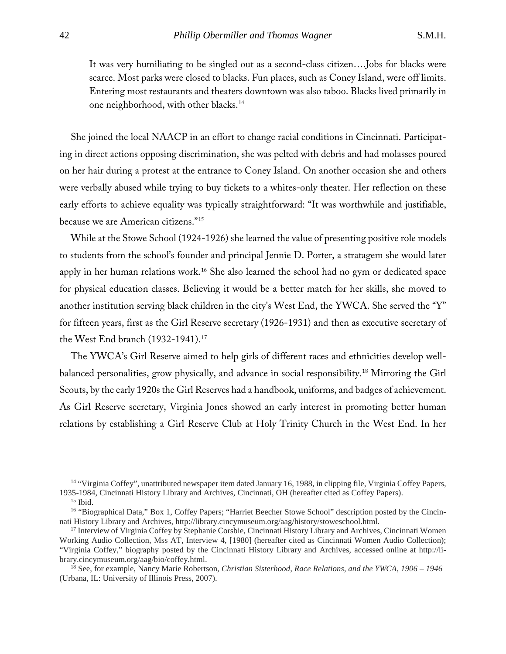It was very humiliating to be singled out as a second-class citizen….Jobs for blacks were scarce. Most parks were closed to blacks. Fun places, such as Coney Island, were off limits. Entering most restaurants and theaters downtown was also taboo. Blacks lived primarily in one neighborhood, with other blacks.[14](#page-4-0)

She joined the local NAACP in an effort to change racial conditions in Cincinnati. Participating in direct actions opposing discrimination, she was pelted with debris and had molasses poured on her hair during a protest at the entrance to Coney Island. On another occasion she and others were verbally abused while trying to buy tickets to a whites-only theater. Her reflection on these early efforts to achieve equality was typically straightforward: "It was worthwhile and justifiable, because we are American citizens."[15](#page-4-1)

While at the Stowe School (1924-1926) she learned the value of presenting positive role models to students from the school's founder and principal Jennie D. Porter, a stratagem she would later apply in her human relations work[.16](#page-4-2) She also learned the school had no gym or dedicated space for physical education classes. Believing it would be a better match for her skills, she moved to another institution serving black children in the city's West End, the YWCA. She served the "Y" for fifteen years, first as the Girl Reserve secretary (1926-1931) and then as executive secretary of the West End branch (1932-1941).<sup>[17](#page-4-3)</sup>

The YWCA's Girl Reserve aimed to help girls of different races and ethnicities develop wellbalanced personalities, grow physically, and advance in social responsibility.[18](#page-4-4) Mirroring the Girl Scouts, by the early 1920s the Girl Reserves had a handbook, uniforms, and badges of achievement. As Girl Reserve secretary, Virginia Jones showed an early interest in promoting better human relations by establishing a Girl Reserve Club at Holy Trinity Church in the West End. In her

<span id="page-4-0"></span><sup>14</sup> "Virginia Coffey", unattributed newspaper item dated January 16, 1988, in clipping file, Virginia Coffey Papers, 1935-1984, Cincinnati History Library and Archives, Cincinnati, OH (hereafter cited as Coffey Papers).

<sup>15</sup> Ibid.

<span id="page-4-2"></span><span id="page-4-1"></span><sup>&</sup>lt;sup>16</sup> "Biographical Data," Box 1, Coffey Papers; "Harriet Beecher Stowe School" description posted by the Cincinnati History Library and Archives, http://library.cincymuseum.org/aag/history/stoweschool.html.

<span id="page-4-3"></span><sup>&</sup>lt;sup>17</sup> Interview of Virginia Coffey by Stephanie Corsbie, Cincinnati History Library and Archives, Cincinnati Women Working Audio Collection, Mss AT, Interview 4, [1980] (hereafter cited as Cincinnati Women Audio Collection); "Virginia Coffey," biography posted by the Cincinnati History Library and Archives, accessed online at http://library.cincymuseum.org/aag/bio/coffey.html. 18 See, for example, Nancy Marie Robertson, *Christian Sisterhood, Race Relations, and the YWCA, 1906 – <sup>1946</sup>*

<span id="page-4-4"></span><sup>(</sup>Urbana, IL: University of Illinois Press, 2007).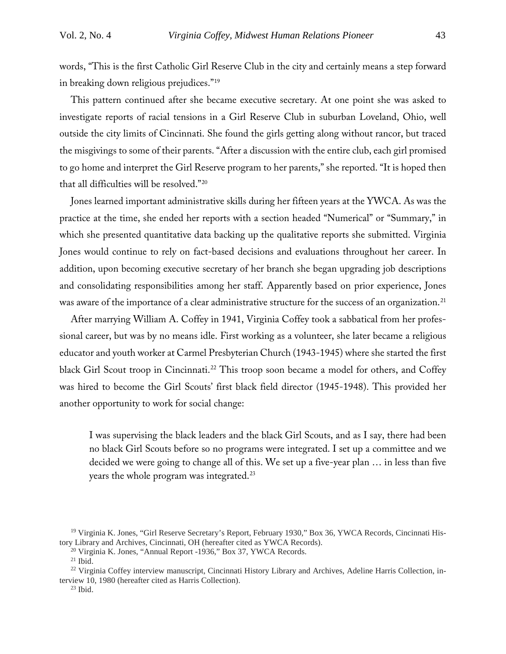words, "This is the first Catholic Girl Reserve Club in the city and certainly means a step forward in breaking down religious prejudices."[19](#page-5-0)

This pattern continued after she became executive secretary. At one point she was asked to investigate reports of racial tensions in a Girl Reserve Club in suburban Loveland, Ohio, well outside the city limits of Cincinnati. She found the girls getting along without rancor, but traced the misgivings to some of their parents. "After a discussion with the entire club, each girl promised to go home and interpret the Girl Reserve program to her parents," she reported. "It is hoped then that all difficulties will be resolved."[20](#page-5-1)

Jones learned important administrative skills during her fifteen years at the YWCA. As was the practice at the time, she ended her reports with a section headed "Numerical" or "Summary," in which she presented quantitative data backing up the qualitative reports she submitted. Virginia Jones would continue to rely on fact-based decisions and evaluations throughout her career. In addition, upon becoming executive secretary of her branch she began upgrading job descriptions and consolidating responsibilities among her staff. Apparently based on prior experience, Jones was aware of the importance of a clear administrative structure for the success of an organization.<sup>[21](#page-5-2)</sup>

After marrying William A. Coffey in 1941, Virginia Coffey took a sabbatical from her professional career, but was by no means idle. First working as a volunteer, she later became a religious educator and youth worker at Carmel Presbyterian Church (1943-1945) where she started the first black Girl Scout troop in Cincinnati.<sup>[22](#page-5-3)</sup> This troop soon became a model for others, and Coffey was hired to become the Girl Scouts' first black field director (1945-1948). This provided her another opportunity to work for social change:

I was supervising the black leaders and the black Girl Scouts, and as I say, there had been no black Girl Scouts before so no programs were integrated. I set up a committee and we decided we were going to change all of this. We set up a five-year plan … in less than five years the whole program was integrated.<sup>[23](#page-5-4)</sup>

<span id="page-5-1"></span><span id="page-5-0"></span><sup>&</sup>lt;sup>19</sup> Virginia K. Jones, "Girl Reserve Secretary's Report, February 1930," Box 36, YWCA Records, Cincinnati History Library and Archives, Cincinnati, OH (hereafter cited as YWCA Records).

<sup>20</sup> Virginia K. Jones, "Annual Report -1936," Box 37, YWCA Records.

 $21$  Ibid.

<span id="page-5-4"></span><span id="page-5-3"></span><span id="page-5-2"></span><sup>&</sup>lt;sup>22</sup> Virginia Coffey interview manuscript, Cincinnati History Library and Archives, Adeline Harris Collection, interview 10, 1980 (hereafter cited as Harris Collection). 23 Ibid.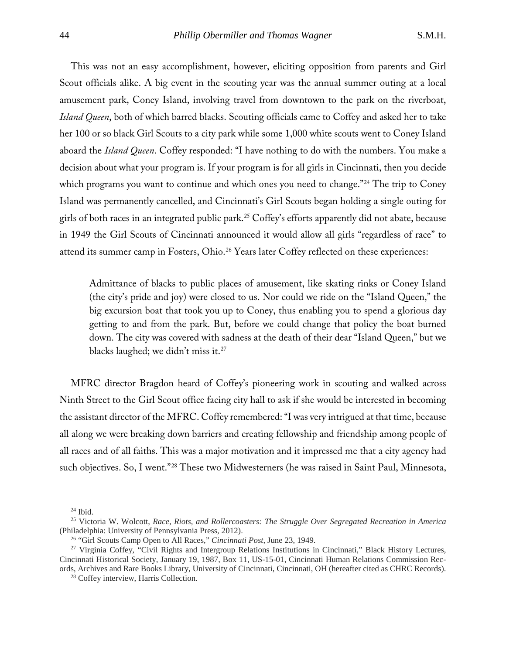This was not an easy accomplishment, however, eliciting opposition from parents and Girl Scout officials alike. A big event in the scouting year was the annual summer outing at a local amusement park, Coney Island, involving travel from downtown to the park on the riverboat, *Island Queen*, both of which barred blacks. Scouting officials came to Coffey and asked her to take her 100 or so black Girl Scouts to a city park while some 1,000 white scouts went to Coney Island aboard the *Island Queen*. Coffey responded: "I have nothing to do with the numbers. You make a decision about what your program is. If your program is for all girls in Cincinnati, then you decide which programs you want to continue and which ones you need to change."<sup>[24](#page-6-0)</sup> The trip to Coney Island was permanently cancelled, and Cincinnati's Girl Scouts began holding a single outing for girls of both races in an integrated public park[.25](#page-6-1) Coffey's efforts apparently did not abate, because in 1949 the Girl Scouts of Cincinnati announced it would allow all girls "regardless of race" to attend its summer camp in Fosters, Ohio. [26](#page-6-2) Years later Coffey reflected on these experiences:

Admittance of blacks to public places of amusement, like skating rinks or Coney Island (the city's pride and joy) were closed to us. Nor could we ride on the "Island Queen," the big excursion boat that took you up to Coney, thus enabling you to spend a glorious day getting to and from the park. But, before we could change that policy the boat burned down. The city was covered with sadness at the death of their dear "Island Queen," but we blacks laughed; we didn't miss it.<sup>[27](#page-6-3)</sup>

MFRC director Bragdon heard of Coffey's pioneering work in scouting and walked across Ninth Street to the Girl Scout office facing city hall to ask if she would be interested in becoming the assistant director of the MFRC. Coffey remembered: "I was very intrigued at that time, because all along we were breaking down barriers and creating fellowship and friendship among people of all races and of all faiths. This was a major motivation and it impressed me that a city agency had such objectives. So, I went."[28](#page-6-4) These two Midwesterners (he was raised in Saint Paul, Minnesota,

 $24$  Ibid.

<span id="page-6-1"></span><span id="page-6-0"></span><sup>25</sup> Victoria W. Wolcott, *Race, Riots, and Rollercoasters: The Struggle Over Segregated Recreation in America* (Philadelphia: University of Pennsylvania Press, 2012).

<sup>26</sup> "Girl Scouts Camp Open to All Races," *Cincinnati Post*, June 23, 1949.

<span id="page-6-4"></span><span id="page-6-3"></span><span id="page-6-2"></span><sup>&</sup>lt;sup>27</sup> Virginia Coffey, "Civil Rights and Intergroup Relations Institutions in Cincinnati," Black History Lectures, Cincinnati Historical Society, January 19, 1987, Box 11, US-15-01, Cincinnati Human Relations Commission Records, Archives and Rare Books Library, University of Cincinnati, Cincinnati, OH (hereafter cited as CHRC Records).

<sup>28</sup> Coffey interview, Harris Collection.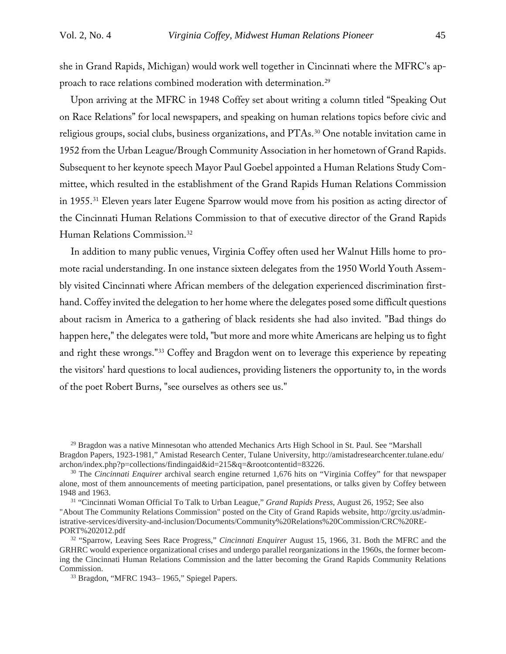she in Grand Rapids, Michigan) would work well together in Cincinnati where the MFRC's approach to race relations combined moderation with determination.[29](#page-7-0)

Upon arriving at the MFRC in 1948 Coffey set about writing a column titled "Speaking Out on Race Relations" for local newspapers, and speaking on human relations topics before civic and religious groups, social clubs, business organizations, and PTAs.<sup>[30](#page-7-1)</sup> One notable invitation came in 1952 from the Urban League/Brough Community Association in her hometown of Grand Rapids. Subsequent to her keynote speech Mayor Paul Goebel appointed a Human Relations Study Committee, which resulted in the establishment of the Grand Rapids Human Relations Commission in 1955.<sup>[31](#page-7-2)</sup> Eleven years later Eugene Sparrow would move from his position as acting director of the Cincinnati Human Relations Commission to that of executive director of the Grand Rapids Human Relations Commission.[32](#page-7-3)

In addition to many public venues, Virginia Coffey often used her Walnut Hills home to promote racial understanding. In one instance sixteen delegates from the 1950 World Youth Assembly visited Cincinnati where African members of the delegation experienced discrimination firsthand. Coffey invited the delegation to her home where the delegates posed some difficult questions about racism in America to a gathering of black residents she had also invited. "Bad things do happen here," the delegates were told, "but more and more white Americans are helping us to fight and right these wrongs."[33](#page-7-4) Coffey and Bragdon went on to leverage this experience by repeating the visitors' hard questions to local audiences, providing listeners the opportunity to, in the words of the poet Robert Burns, "see ourselves as others see us."

<span id="page-7-0"></span><sup>29</sup> Bragdon was a native Minnesotan who attended Mechanics Arts High School in St. Paul. See "Marshall Bragdon Papers, 1923-1981," Amistad Research Center, Tulane University, http://amistadresearchcenter.tulane.edu/ archon/index.php?p=collections/findingaid&id=215&q=&rootcontentid=83226.

<span id="page-7-1"></span><sup>30</sup> The *Cincinnati Enquirer* archival search engine returned 1,676 hits on "Virginia Coffey" for that newspaper alone, most of them announcements of meeting participation, panel presentations, or talks given by Coffey between 1948 and 1963.

<span id="page-7-2"></span><sup>31</sup> "Cincinnati Woman Official To Talk to Urban League," *Grand Rapids Press*, August 26, 1952; See also "About The Community Relations Commission" posted on the City of Grand Rapids website, http://grcity.us/administrative-services/diversity-and-inclusion/Documents/Community%20Relations%20Commission/CRC%20RE-PORT%202012.pdf

<span id="page-7-4"></span><span id="page-7-3"></span><sup>32</sup> "Sparrow, Leaving Sees Race Progress," *Cincinnati Enquirer* August 15, 1966, 31. Both the MFRC and the GRHRC would experience organizational crises and undergo parallel reorganizations in the 1960s, the former becoming the Cincinnati Human Relations Commission and the latter becoming the Grand Rapids Community Relations Commission.

<sup>33</sup> Bragdon, "MFRC 1943– 1965," Spiegel Papers.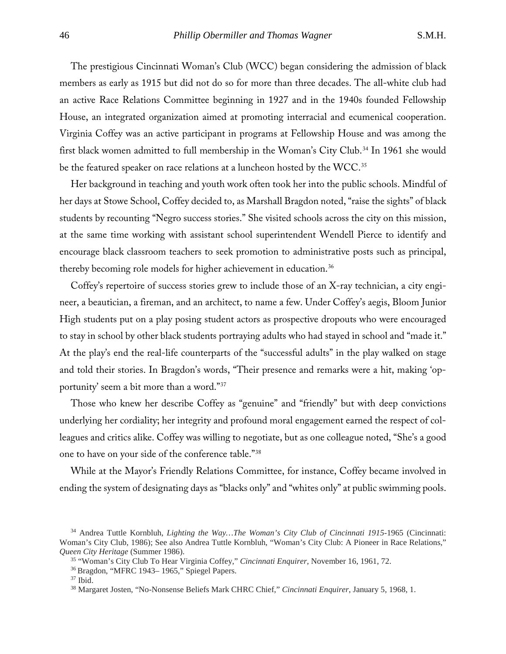The prestigious Cincinnati Woman's Club (WCC) began considering the admission of black members as early as 1915 but did not do so for more than three decades. The all-white club had an active Race Relations Committee beginning in 1927 and in the 1940s founded Fellowship House, an integrated organization aimed at promoting interracial and ecumenical cooperation. Virginia Coffey was an active participant in programs at Fellowship House and was among the first black women admitted to full membership in the Woman's City Club.[34](#page-8-0) In 1961 she would be the featured speaker on race relations at a luncheon hosted by the WCC.<sup>[35](#page-8-1)</sup>

Her background in teaching and youth work often took her into the public schools. Mindful of her days at Stowe School, Coffey decided to, as Marshall Bragdon noted, "raise the sights" of black students by recounting "Negro success stories." She visited schools across the city on this mission, at the same time working with assistant school superintendent Wendell Pierce to identify and encourage black classroom teachers to seek promotion to administrative posts such as principal, thereby becoming role models for higher achievement in education.[36](#page-8-2)

Coffey's repertoire of success stories grew to include those of an X-ray technician, a city engineer, a beautician, a fireman, and an architect, to name a few. Under Coffey's aegis, Bloom Junior High students put on a play posing student actors as prospective dropouts who were encouraged to stay in school by other black students portraying adults who had stayed in school and "made it." At the play's end the real-life counterparts of the "successful adults" in the play walked on stage and told their stories. In Bragdon's words, "Their presence and remarks were a hit, making 'opportunity' seem a bit more than a word."[37](#page-8-3)

Those who knew her describe Coffey as "genuine" and "friendly" but with deep convictions underlying her cordiality; her integrity and profound moral engagement earned the respect of colleagues and critics alike. Coffey was willing to negotiate, but as one colleague noted, "She's a good one to have on your side of the conference table."[38](#page-8-4)

While at the Mayor's Friendly Relations Committee, for instance, Coffey became involved in ending the system of designating days as "blacks only" and "whites only" at public swimming pools.

<span id="page-8-1"></span><span id="page-8-0"></span><sup>34</sup> Andrea Tuttle Kornbluh, *Lighting the Way…The Woman's City Club of Cincinnati 1915-*1965 (Cincinnati: Woman's City Club, 1986); See also Andrea Tuttle Kornbluh, "Woman's City Club: A Pioneer in Race Relations," *Queen City Heritage* (Summer 1986).

<sup>35</sup> "Woman's City Club To Hear Virginia Coffey," *Cincinnati Enquirer,* November 16, 1961, 72.

<span id="page-8-4"></span><span id="page-8-3"></span><span id="page-8-2"></span><sup>36</sup> Bragdon, "MFRC 1943– 1965," Spiegel Papers.

 $37$  Ibid.

<sup>38</sup> Margaret Josten, "No-Nonsense Beliefs Mark CHRC Chief," *Cincinnati Enquirer*, January 5, 1968, 1.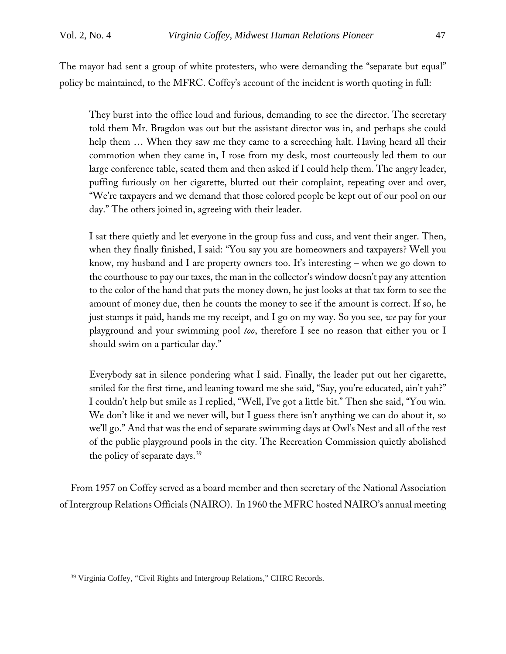The mayor had sent a group of white protesters, who were demanding the "separate but equal" policy be maintained, to the MFRC. Coffey's account of the incident is worth quoting in full:

They burst into the office loud and furious, demanding to see the director. The secretary told them Mr. Bragdon was out but the assistant director was in, and perhaps she could help them … When they saw me they came to a screeching halt. Having heard all their commotion when they came in, I rose from my desk, most courteously led them to our large conference table, seated them and then asked if I could help them. The angry leader, puffing furiously on her cigarette, blurted out their complaint, repeating over and over, "We're taxpayers and we demand that those colored people be kept out of our pool on our day." The others joined in, agreeing with their leader.

I sat there quietly and let everyone in the group fuss and cuss, and vent their anger. Then, when they finally finished, I said: "You say you are homeowners and taxpayers? Well you know, my husband and I are property owners too. It's interesting – when we go down to the courthouse to pay our taxes, the man in the collector's window doesn't pay any attention to the color of the hand that puts the money down, he just looks at that tax form to see the amount of money due, then he counts the money to see if the amount is correct. If so, he just stamps it paid, hands me my receipt, and I go on my way. So you see, *we* pay for your playground and your swimming pool *too*, therefore I see no reason that either you or I should swim on a particular day."

Everybody sat in silence pondering what I said. Finally, the leader put out her cigarette, smiled for the first time, and leaning toward me she said, "Say, you're educated, ain't yah?" I couldn't help but smile as I replied, "Well, I've got a little bit." Then she said, "You win. We don't like it and we never will, but I guess there isn't anything we can do about it, so we'll go." And that was the end of separate swimming days at Owl's Nest and all of the rest of the public playground pools in the city. The Recreation Commission quietly abolished the policy of separate days.[39](#page-9-0)

From 1957 on Coffey served as a board member and then secretary of the National Association of Intergroup Relations Officials (NAIRO). In 1960 the MFRC hosted NAIRO's annual meeting

<span id="page-9-0"></span><sup>&</sup>lt;sup>39</sup> Virginia Coffey, "Civil Rights and Intergroup Relations," CHRC Records.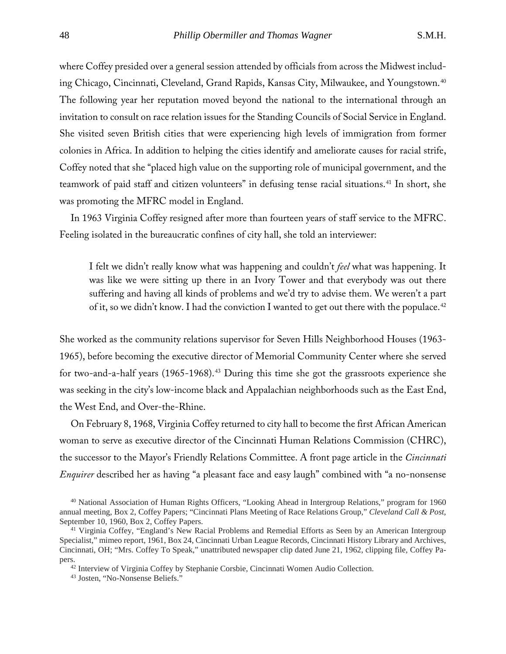where Coffey presided over a general session attended by officials from across the Midwest including Chicago, Cincinnati, Cleveland, Grand Rapids, Kansas City, Milwaukee, and Youngstown.[40](#page-10-0) The following year her reputation moved beyond the national to the international through an invitation to consult on race relation issues for the Standing Councils of Social Service in England. She visited seven British cities that were experiencing high levels of immigration from former colonies in Africa. In addition to helping the cities identify and ameliorate causes for racial strife, Coffey noted that she "placed high value on the supporting role of municipal government, and the teamwork of paid staff and citizen volunteers" in defusing tense racial situations.<sup>[41](#page-10-1)</sup> In short, she was promoting the MFRC model in England.

In 1963 Virginia Coffey resigned after more than fourteen years of staff service to the MFRC. Feeling isolated in the bureaucratic confines of city hall, she told an interviewer:

I felt we didn't really know what was happening and couldn't *feel* what was happening. It was like we were sitting up there in an Ivory Tower and that everybody was out there suffering and having all kinds of problems and we'd try to advise them. We weren't a part of it, so we didn't know. I had the conviction I wanted to get out there with the populace.<sup>[42](#page-10-2)</sup>

She worked as the community relations supervisor for Seven Hills Neighborhood Houses (1963- 1965), before becoming the executive director of Memorial Community Center where she served for two-and-a-half years (1965-1968).<sup>[43](#page-10-3)</sup> During this time she got the grassroots experience she was seeking in the city's low-income black and Appalachian neighborhoods such as the East End, the West End, and Over-the-Rhine.

On February 8, 1968, Virginia Coffey returned to city hall to become the first African American woman to serve as executive director of the Cincinnati Human Relations Commission (CHRC), the successor to the Mayor's Friendly Relations Committee. A front page article in the *Cincinnati Enquirer* described her as having "a pleasant face and easy laugh" combined with "a no-nonsense

<span id="page-10-0"></span><sup>40</sup> National Association of Human Rights Officers, "Looking Ahead in Intergroup Relations," program for 1960 annual meeting, Box 2, Coffey Papers; "Cincinnati Plans Meeting of Race Relations Group," *Cleveland Call & Post*, September 10, 1960, Box 2, Coffey Papers.

<span id="page-10-1"></span><sup>&</sup>lt;sup>41</sup> Virginia Coffey, "England's New Racial Problems and Remedial Efforts as Seen by an American Intergroup Specialist," mimeo report, 1961, Box 24, Cincinnati Urban League Records, Cincinnati History Library and Archives, Cincinnati, OH; "Mrs. Coffey To Speak," unattributed newspaper clip dated June 21, 1962, clipping file, Coffey Pa-

<span id="page-10-3"></span><span id="page-10-2"></span>pers.42 Interview of Virginia Coffey by Stephanie Corsbie, Cincinnati Women Audio Collection. 43 Josten, "No-Nonsense Beliefs."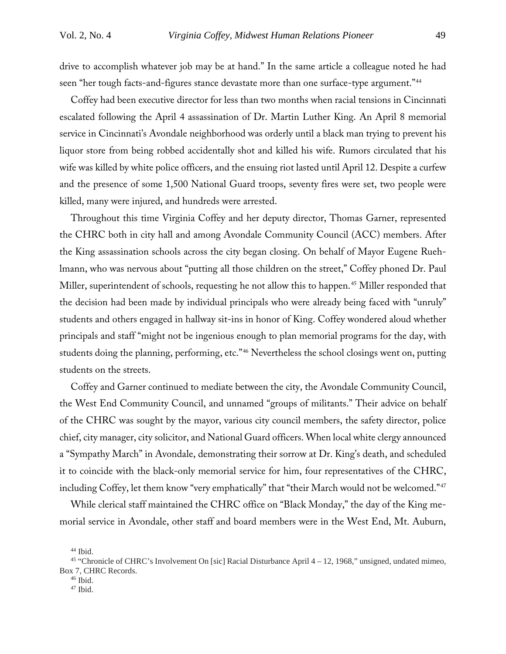drive to accomplish whatever job may be at hand." In the same article a colleague noted he had seen "her tough facts-and-figures stance devastate more than one surface-type argument."[44](#page-11-0)

Coffey had been executive director for less than two months when racial tensions in Cincinnati escalated following the April 4 assassination of Dr. Martin Luther King. An April 8 memorial service in Cincinnati's Avondale neighborhood was orderly until a black man trying to prevent his liquor store from being robbed accidentally shot and killed his wife. Rumors circulated that his wife was killed by white police officers, and the ensuing riot lasted until April 12. Despite a curfew and the presence of some 1,500 National Guard troops, seventy fires were set, two people were killed, many were injured, and hundreds were arrested.

Throughout this time Virginia Coffey and her deputy director, Thomas Garner, represented the CHRC both in city hall and among Avondale Community Council (ACC) members. After the King assassination schools across the city began closing. On behalf of Mayor Eugene Ruehlmann, who was nervous about "putting all those children on the street," Coffey phoned Dr. Paul Miller, superintendent of schools, requesting he not allow this to happen.<sup>[45](#page-11-1)</sup> Miller responded that the decision had been made by individual principals who were already being faced with "unruly" students and others engaged in hallway sit-ins in honor of King. Coffey wondered aloud whether principals and staff "might not be ingenious enough to plan memorial programs for the day, with students doing the planning, performing, etc."[46](#page-11-2) Nevertheless the school closings went on, putting students on the streets.

Coffey and Garner continued to mediate between the city, the Avondale Community Council, the West End Community Council, and unnamed "groups of militants." Their advice on behalf of the CHRC was sought by the mayor, various city council members, the safety director, police chief, city manager, city solicitor, and National Guard officers. When local white clergy announced a "Sympathy March" in Avondale, demonstrating their sorrow at Dr. King's death, and scheduled it to coincide with the black-only memorial service for him, four representatives of the CHRC, including Coffey, let them know "very emphatically" that "their March would not be welcomed."<sup>[47](#page-11-3)</sup>

While clerical staff maintained the CHRC office on "Black Monday," the day of the King memorial service in Avondale, other staff and board members were in the West End, Mt. Auburn,

 $44$  Ibid.

<span id="page-11-3"></span><span id="page-11-2"></span><span id="page-11-1"></span><span id="page-11-0"></span><sup>45</sup> "Chronicle of CHRC's Involvement On [sic] Racial Disturbance April 4 – 12, 1968," unsigned, undated mimeo, Box 7, CHRC Records.

 $46$  Ibid.

<sup>47</sup> Ibid.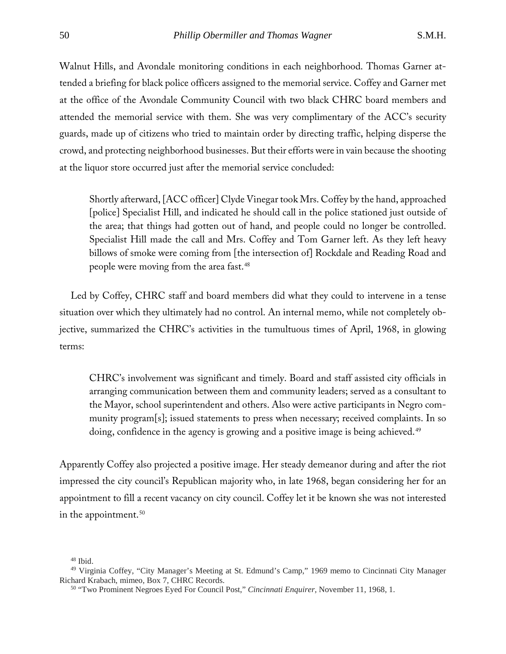Walnut Hills, and Avondale monitoring conditions in each neighborhood. Thomas Garner attended a briefing for black police officers assigned to the memorial service. Coffey and Garner met at the office of the Avondale Community Council with two black CHRC board members and attended the memorial service with them. She was very complimentary of the ACC's security guards, made up of citizens who tried to maintain order by directing traffic, helping disperse the crowd, and protecting neighborhood businesses. But their efforts were in vain because the shooting at the liquor store occurred just after the memorial service concluded:

Shortly afterward, [ACC officer] Clyde Vinegar took Mrs. Coffey by the hand, approached [police] Specialist Hill, and indicated he should call in the police stationed just outside of the area; that things had gotten out of hand, and people could no longer be controlled. Specialist Hill made the call and Mrs. Coffey and Tom Garner left. As they left heavy billows of smoke were coming from [the intersection of] Rockdale and Reading Road and people were moving from the area fast.<sup>[48](#page-12-0)</sup>

Led by Coffey, CHRC staff and board members did what they could to intervene in a tense situation over which they ultimately had no control. An internal memo, while not completely objective, summarized the CHRC's activities in the tumultuous times of April, 1968, in glowing terms:

CHRC's involvement was significant and timely. Board and staff assisted city officials in arranging communication between them and community leaders; served as a consultant to the Mayor, school superintendent and others. Also were active participants in Negro community program[s]; issued statements to press when necessary; received complaints. In so doing, confidence in the agency is growing and a positive image is being achieved.<sup>[49](#page-12-1)</sup>

Apparently Coffey also projected a positive image. Her steady demeanor during and after the riot impressed the city council's Republican majority who, in late 1968, began considering her for an appointment to fill a recent vacancy on city council. Coffey let it be known she was not interested in the appointment. $50$ 

<sup>48</sup> Ibid.

<span id="page-12-2"></span><span id="page-12-1"></span><span id="page-12-0"></span><sup>49</sup> Virginia Coffey, "City Manager's Meeting at St. Edmund's Camp," 1969 memo to Cincinnati City Manager Richard Krabach, mimeo, Box 7, CHRC Records.

<sup>50</sup> "Two Prominent Negroes Eyed For Council Post," *Cincinnati Enquirer,* November 11, 1968, 1.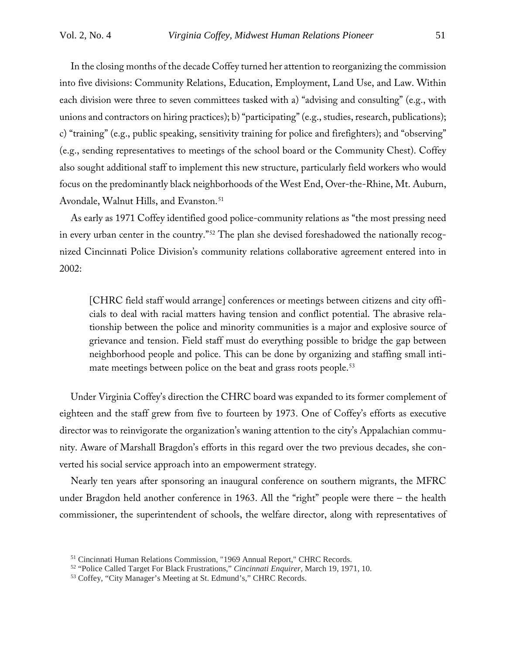In the closing months of the decade Coffey turned her attention to reorganizing the commission into five divisions: Community Relations, Education, Employment, Land Use, and Law. Within each division were three to seven committees tasked with a) "advising and consulting" (e.g., with unions and contractors on hiring practices); b) "participating" (e.g., studies, research, publications); c) "training" (e.g., public speaking, sensitivity training for police and firefighters); and "observing" (e.g., sending representatives to meetings of the school board or the Community Chest). Coffey also sought additional staff to implement this new structure, particularly field workers who would focus on the predominantly black neighborhoods of the West End, Over-the-Rhine, Mt. Auburn, Avondale, Walnut Hills, and Evanston.<sup>[51](#page-13-0)</sup>

As early as 1971 Coffey identified good police-community relations as "the most pressing need in every urban center in the country."[52](#page-13-1) The plan she devised foreshadowed the nationally recognized Cincinnati Police Division's community relations collaborative agreement entered into in 2002:

[CHRC field staff would arrange] conferences or meetings between citizens and city officials to deal with racial matters having tension and conflict potential. The abrasive relationship between the police and minority communities is a major and explosive source of grievance and tension. Field staff must do everything possible to bridge the gap between neighborhood people and police. This can be done by organizing and staffing small inti-mate meetings between police on the beat and grass roots people.<sup>[53](#page-13-2)</sup>

Under Virginia Coffey's direction the CHRC board was expanded to its former complement of eighteen and the staff grew from five to fourteen by 1973. One of Coffey's efforts as executive director was to reinvigorate the organization's waning attention to the city's Appalachian community. Aware of Marshall Bragdon's efforts in this regard over the two previous decades, she converted his social service approach into an empowerment strategy.

Nearly ten years after sponsoring an inaugural conference on southern migrants, the MFRC under Bragdon held another conference in 1963. All the "right" people were there – the health commissioner, the superintendent of schools, the welfare director, along with representatives of

<sup>51</sup> Cincinnati Human Relations Commission, "1969 Annual Report," CHRC Records.

<span id="page-13-2"></span><span id="page-13-1"></span><span id="page-13-0"></span><sup>52</sup> "Police Called Target For Black Frustrations," *Cincinnati Enquirer,* March 19, 1971, 10.

<sup>53</sup> Coffey, "City Manager's Meeting at St. Edmund's," CHRC Records.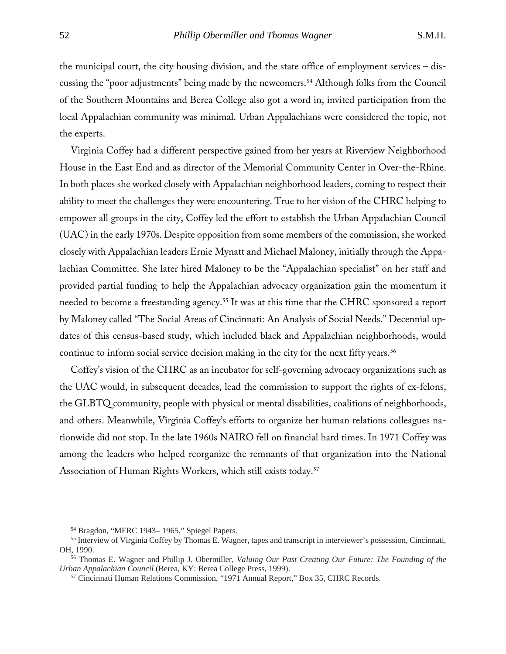the municipal court, the city housing division, and the state office of employment services – discussing the "poor adjustments" being made by the newcomers.[54](#page-14-0) Although folks from the Council of the Southern Mountains and Berea College also got a word in, invited participation from the local Appalachian community was minimal. Urban Appalachians were considered the topic, not the experts.

Virginia Coffey had a different perspective gained from her years at Riverview Neighborhood House in the East End and as director of the Memorial Community Center in Over-the-Rhine. In both places she worked closely with Appalachian neighborhood leaders, coming to respect their ability to meet the challenges they were encountering. True to her vision of the CHRC helping to empower all groups in the city, Coffey led the effort to establish the Urban Appalachian Council (UAC) in the early 1970s. Despite opposition from some members of the commission, she worked closely with Appalachian leaders Ernie Mynatt and Michael Maloney, initially through the Appalachian Committee. She later hired Maloney to be the "Appalachian specialist" on her staff and provided partial funding to help the Appalachian advocacy organization gain the momentum it needed to become a freestanding agency.<sup>55</sup> It was at this time that the CHRC sponsored a report by Maloney called "The Social Areas of Cincinnati: An Analysis of Social Needs." Decennial updates of this census-based study, which included black and Appalachian neighborhoods, would continue to inform social service decision making in the city for the next fifty years.<sup>56</sup>

Coffey's vision of the CHRC as an incubator for self-governing advocacy organizations such as the UAC would, in subsequent decades, lead the commission to support the rights of ex-felons, the GLBTQ community, people with physical or mental disabilities, coalitions of neighborhoods, and others. Meanwhile, Virginia Coffey's efforts to organize her human relations colleagues nationwide did not stop. In the late 1960s NAIRO fell on financial hard times. In 1971 Coffey was among the leaders who helped reorganize the remnants of that organization into the National Association of Human Rights Workers, which still exists today[.57](#page-14-3)

<sup>54</sup> Bragdon, "MFRC 1943– 1965," Spiegel Papers.

<span id="page-14-1"></span><span id="page-14-0"></span><sup>55</sup> Interview of Virginia Coffey by Thomas E. Wagner, tapes and transcript in interviewer's possession, Cincinnati, OH, 1990.

<span id="page-14-3"></span><span id="page-14-2"></span><sup>56</sup> Thomas E. Wagner and Phillip J. Obermiller, *Valuing Our Past Creating Our Future: The Founding of the Urban Appalachian Council* (Berea, KY: Berea College Press, 1999).

<sup>57</sup> Cincinnati Human Relations Commission, "1971 Annual Report," Box 35, CHRC Records.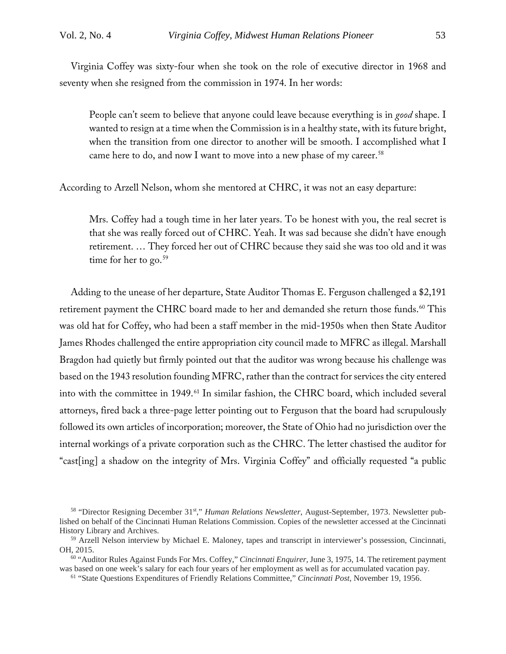Virginia Coffey was sixty-four when she took on the role of executive director in 1968 and seventy when she resigned from the commission in 1974. In her words:

People can't seem to believe that anyone could leave because everything is in *good* shape. I wanted to resign at a time when the Commission is in a healthy state, with its future bright, when the transition from one director to another will be smooth. I accomplished what I came here to do, and now I want to move into a new phase of my career.<sup>[58](#page-15-0)</sup>

According to Arzell Nelson, whom she mentored at CHRC, it was not an easy departure:

Mrs. Coffey had a tough time in her later years. To be honest with you, the real secret is that she was really forced out of CHRC. Yeah. It was sad because she didn't have enough retirement. … They forced her out of CHRC because they said she was too old and it was time for her to go. $59$ 

Adding to the unease of her departure, State Auditor Thomas E. Ferguson challenged a \$2,191 retirement payment the CHRC board made to her and demanded she return those funds.<sup>[60](#page-15-2)</sup> This was old hat for Coffey, who had been a staff member in the mid-1950s when then State Auditor James Rhodes challenged the entire appropriation city council made to MFRC as illegal. Marshall Bragdon had quietly but firmly pointed out that the auditor was wrong because his challenge was based on the 1943 resolution founding MFRC, rather than the contract for services the city entered into with the committee in 1949.<sup>[61](#page-15-3)</sup> In similar fashion, the CHRC board, which included several attorneys, fired back a three-page letter pointing out to Ferguson that the board had scrupulously followed its own articles of incorporation; moreover, the State of Ohio had no jurisdiction over the internal workings of a private corporation such as the CHRC. The letter chastised the auditor for "cast[ing] a shadow on the integrity of Mrs. Virginia Coffey" and officially requested "a public

<span id="page-15-0"></span><sup>58</sup> "Director Resigning December 31st," *Human Relations Newsletter*, August-September, 1973. Newsletter published on behalf of the Cincinnati Human Relations Commission. Copies of the newsletter accessed at the Cincinnati History Library and Archives.

<span id="page-15-1"></span><sup>59</sup> Arzell Nelson interview by Michael E. Maloney, tapes and transcript in interviewer's possession, Cincinnati, OH, 2015.

<span id="page-15-3"></span><span id="page-15-2"></span><sup>60</sup> "Auditor Rules Against Funds For Mrs. Coffey," *Cincinnati Enquirer,* June 3, 1975, 14. The retirement payment was based on one week's salary for each four years of her employment as well as for accumulated vacation pay.

<sup>61</sup> "State Questions Expenditures of Friendly Relations Committee," *Cincinnati Post*, November 19, 1956.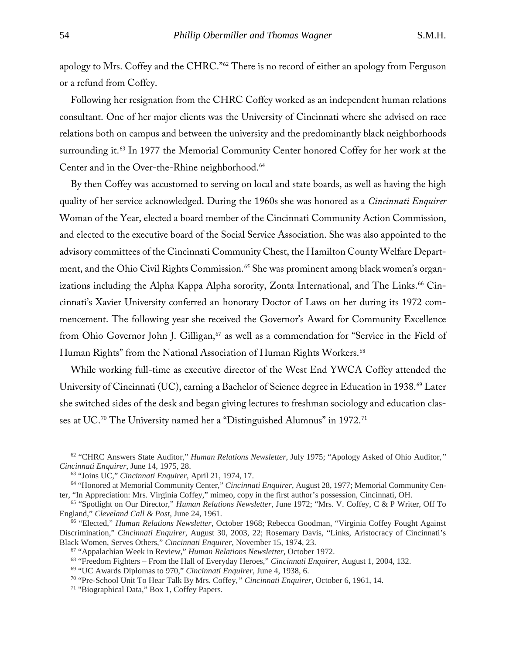apology to Mrs. Coffey and the CHRC."<sup>[62](#page-16-0)</sup> There is no record of either an apology from Ferguson or a refund from Coffey.

Following her resignation from the CHRC Coffey worked as an independent human relations consultant. One of her major clients was the University of Cincinnati where she advised on race relations both on campus and between the university and the predominantly black neighborhoods surrounding it.<sup>[63](#page-16-1)</sup> In 1977 the Memorial Community Center honored Coffey for her work at the Center and in the Over-the-Rhine neighborhood.<sup>[64](#page-16-2)</sup>

By then Coffey was accustomed to serving on local and state boards, as well as having the high quality of her service acknowledged. During the 1960s she was honored as a *Cincinnati Enquirer* Woman of the Year, elected a board member of the Cincinnati Community Action Commission, and elected to the executive board of the Social Service Association. She was also appointed to the advisory committees of the Cincinnati Community Chest, the Hamilton County Welfare Depart-ment, and the Ohio Civil Rights Commission.<sup>[65](#page-16-3)</sup> She was prominent among black women's organizations including the Alpha Kappa Alpha sorority, Zonta International, and The Links. [66](#page-16-4) Cincinnati's Xavier University conferred an honorary Doctor of Laws on her during its 1972 commencement. The following year she received the Governor's Award for Community Excellence from Ohio Governor John J. Gilligan,<sup>[67](#page-16-5)</sup> as well as a commendation for "Service in the Field of Human Rights" from the National Association of Human Rights Workers.<sup>[68](#page-16-6)</sup>

While working full-time as executive director of the West End YWCA Coffey attended the University of Cincinnati (UC), earning a Bachelor of Science degree in Education in 1938.[69](#page-16-7) Later she switched sides of the desk and began giving lectures to freshman sociology and education clas-ses at UC.<sup>[70](#page-16-8)</sup> The University named her a "Distinguished Alumnus" in 1972.<sup>[71](#page-16-9)</sup>

<span id="page-16-0"></span><sup>62</sup> "CHRC Answers State Auditor," *Human Relations Newsletter*, July 1975; "Apology Asked of Ohio Auditor*," Cincinnati Enquirer*, June 14, 1975, 28.

<sup>63</sup> "Joins UC," *Cincinnati Enquirer*, April 21, 1974, 17.

<span id="page-16-2"></span><span id="page-16-1"></span><sup>64</sup> "Honored at Memorial Community Center," *Cincinnati Enquirer*, August 28, 1977; Memorial Community Center, "In Appreciation: Mrs. Virginia Coffey," mimeo, copy in the first author's possession, Cincinnati, OH.

<span id="page-16-3"></span><sup>65</sup> "Spotlight on Our Director," *Human Relations Newsletter*, June 1972; "Mrs. V. Coffey, C & P Writer, Off To England," *Cleveland Call & Post,* June 24, 1961.

<span id="page-16-5"></span><span id="page-16-4"></span><sup>66</sup> "Elected," *Human Relations Newsletter*, October 1968; Rebecca Goodman, "Virginia Coffey Fought Against Discrimination," *Cincinnati Enquirer*, August 30, 2003, 22; Rosemary Davis, "Links, Aristocracy of Cincinnati's Black Women, Serves Others," *Cincinnati Enquirer*, November 15, 1974, 23.

<sup>67</sup> "Appalachian Week in Review," *Human Relations Newsletter*, October 1972.

<span id="page-16-6"></span><sup>68</sup> "Freedom Fighters – From the Hall of Everyday Heroes," *Cincinnati Enquirer*, August 1, 2004, 132.

<span id="page-16-7"></span><sup>69</sup> "UC Awards Diplomas to 970," *Cincinnati Enquirer,* June 4, 1938, 6.

<span id="page-16-8"></span><sup>70</sup> "Pre-School Unit To Hear Talk By Mrs. Coffey*," Cincinnati Enquirer*, October 6, 1961, 14.

<span id="page-16-9"></span><sup>71</sup> "Biographical Data," Box 1, Coffey Papers.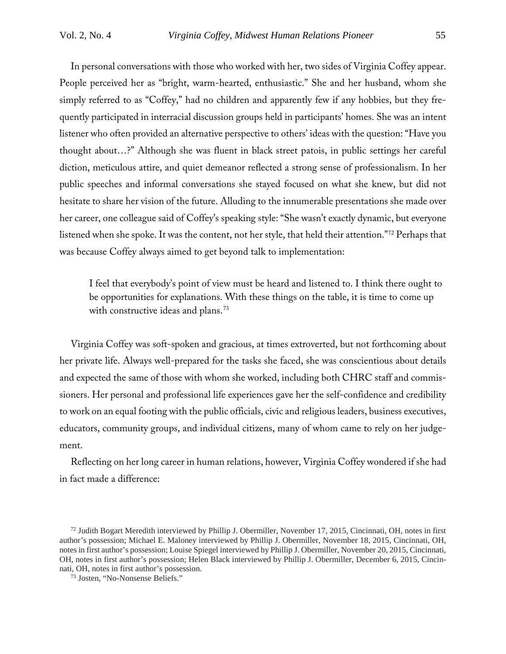In personal conversations with those who worked with her, two sides of Virginia Coffey appear. People perceived her as "bright, warm-hearted, enthusiastic." She and her husband, whom she simply referred to as "Coffey," had no children and apparently few if any hobbies, but they frequently participated in interracial discussion groups held in participants' homes. She was an intent listener who often provided an alternative perspective to others' ideas with the question: "Have you thought about…?" Although she was fluent in black street patois, in public settings her careful diction, meticulous attire, and quiet demeanor reflected a strong sense of professionalism. In her public speeches and informal conversations she stayed focused on what she knew, but did not hesitate to share her vision of the future. Alluding to the innumerable presentations she made over her career, one colleague said of Coffey's speaking style: "She wasn't exactly dynamic, but everyone listened when she spoke. It was the content, not her style, that held their attention."[72](#page-17-0) Perhaps that was because Coffey always aimed to get beyond talk to implementation:

I feel that everybody's point of view must be heard and listened to. I think there ought to be opportunities for explanations. With these things on the table, it is time to come up with constructive ideas and plans.<sup>[73](#page-17-1)</sup>

Virginia Coffey was soft-spoken and gracious, at times extroverted, but not forthcoming about her private life. Always well-prepared for the tasks she faced, she was conscientious about details and expected the same of those with whom she worked, including both CHRC staff and commissioners. Her personal and professional life experiences gave her the self-confidence and credibility to work on an equal footing with the public officials, civic and religious leaders, business executives, educators, community groups, and individual citizens, many of whom came to rely on her judgement.

Reflecting on her long career in human relations, however, Virginia Coffey wondered if she had in fact made a difference:

<span id="page-17-0"></span><sup>72</sup> Judith Bogart Meredith interviewed by Phillip J. Obermiller, November 17, 2015, Cincinnati, OH, notes in first author's possession; Michael E. Maloney interviewed by Phillip J. Obermiller, November 18, 2015, Cincinnati, OH, notes in first author's possession; Louise Spiegel interviewed by Phillip J. Obermiller, November 20, 2015, Cincinnati, OH, notes in first author's possession; Helen Black interviewed by Phillip J. Obermiller, December 6, 2015, Cincinnati, OH, notes in first author's possession.

<span id="page-17-1"></span><sup>73</sup> Josten, "No-Nonsense Beliefs."